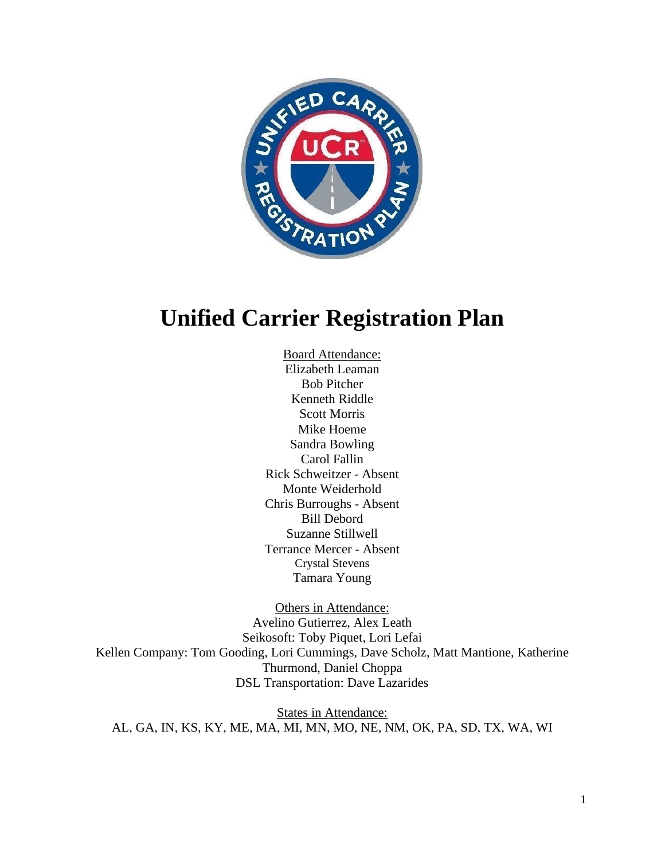

# **Unified Carrier Registration Plan**

Board Attendance: Elizabeth Leaman Bob Pitcher Kenneth Riddle Scott Morris Mike Hoeme Sandra Bowling Carol Fallin Rick Schweitzer - Absent Monte Weiderhold Chris Burroughs - Absent Bill Debord Suzanne Stillwell Terrance Mercer - Absent Crystal Stevens Tamara Young

Others in Attendance: Avelino Gutierrez, Alex Leath Seikosoft: Toby Piquet, Lori Lefai Kellen Company: Tom Gooding, Lori Cummings, Dave Scholz, Matt Mantione, Katherine Thurmond, Daniel Choppa DSL Transportation: Dave Lazarides

States in Attendance: AL, GA, IN, KS, KY, ME, MA, MI, MN, MO, NE, NM, OK, PA, SD, TX, WA, WI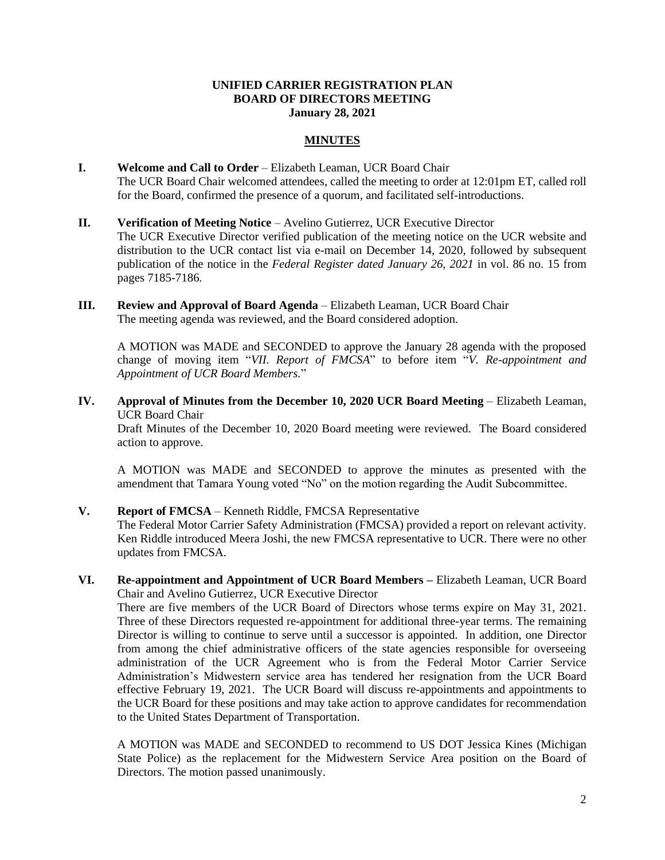### **UNIFIED CARRIER REGISTRATION PLAN BOARD OF DIRECTORS MEETING January 28, 2021**

# **MINUTES**

- **I. Welcome and Call to Order** Elizabeth Leaman, UCR Board Chair The UCR Board Chair welcomed attendees, called the meeting to order at 12:01pm ET, called roll for the Board, confirmed the presence of a quorum, and facilitated self-introductions.
- **II. Verification of Meeting Notice**  Avelino Gutierrez, UCR Executive Director The UCR Executive Director verified publication of the meeting notice on the UCR website and distribution to the UCR contact list via e-mail on December 14, 2020, followed by subsequent publication of the notice in the *Federal Register dated January 26, 2021* in vol. 86 no. 15 from pages 7185-7186*.*
- **III. Review and Approval of Board Agenda** Elizabeth Leaman, UCR Board Chair The meeting agenda was reviewed, and the Board considered adoption.

A MOTION was MADE and SECONDED to approve the January 28 agenda with the proposed change of moving item "*VII. Report of FMCSA*" to before item "*V. Re-appointment and Appointment of UCR Board Members.*"

**IV. Approval of Minutes from the December 10, 2020 UCR Board Meeting** – Elizabeth Leaman, UCR Board Chair

Draft Minutes of the December 10, 2020 Board meeting were reviewed. The Board considered action to approve.

A MOTION was MADE and SECONDED to approve the minutes as presented with the amendment that Tamara Young voted "No" on the motion regarding the Audit Subcommittee.

#### **V. Report of FMCSA** – Kenneth Riddle, FMCSA Representative

The Federal Motor Carrier Safety Administration (FMCSA) provided a report on relevant activity. Ken Riddle introduced Meera Joshi, the new FMCSA representative to UCR. There were no other updates from FMCSA.

**VI. Re-appointment and Appointment of UCR Board Members –** Elizabeth Leaman, UCR Board Chair and Avelino Gutierrez, UCR Executive Director

There are five members of the UCR Board of Directors whose terms expire on May 31, 2021. Three of these Directors requested re-appointment for additional three-year terms. The remaining Director is willing to continue to serve until a successor is appointed. In addition, one Director from among the chief administrative officers of the state agencies responsible for overseeing administration of the UCR Agreement who is from the Federal Motor Carrier Service Administration's Midwestern service area has tendered her resignation from the UCR Board effective February 19, 2021. The UCR Board will discuss re-appointments and appointments to the UCR Board for these positions and may take action to approve candidates for recommendation to the United States Department of Transportation.

A MOTION was MADE and SECONDED to recommend to US DOT Jessica Kines (Michigan State Police) as the replacement for the Midwestern Service Area position on the Board of Directors. The motion passed unanimously.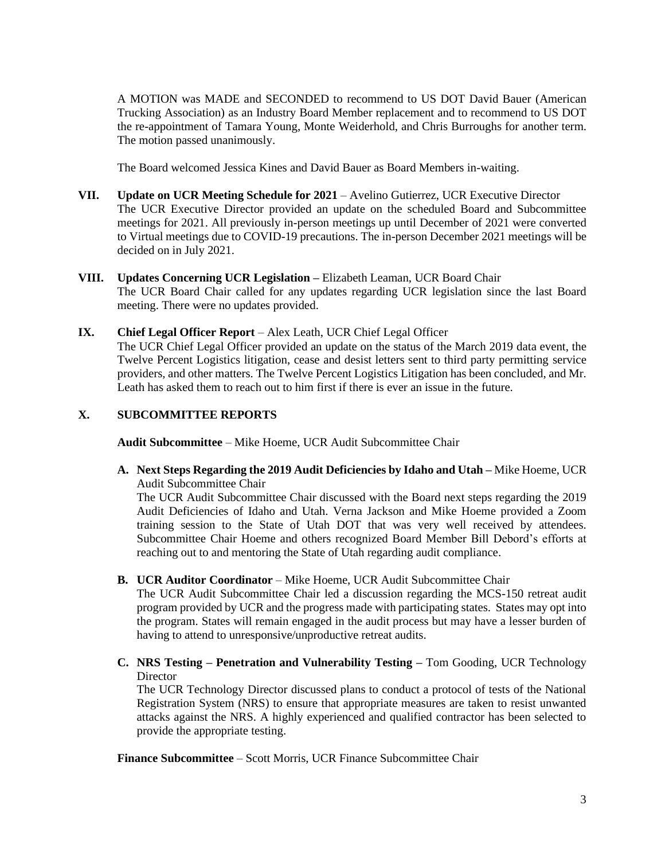A MOTION was MADE and SECONDED to recommend to US DOT David Bauer (American Trucking Association) as an Industry Board Member replacement and to recommend to US DOT the re-appointment of Tamara Young, Monte Weiderhold, and Chris Burroughs for another term. The motion passed unanimously.

The Board welcomed Jessica Kines and David Bauer as Board Members in-waiting.

- **VII. Update on UCR Meeting Schedule for 2021** Avelino Gutierrez, UCR Executive Director The UCR Executive Director provided an update on the scheduled Board and Subcommittee meetings for 2021. All previously in-person meetings up until December of 2021 were converted to Virtual meetings due to COVID-19 precautions. The in-person December 2021 meetings will be decided on in July 2021.
- **VIII. Updates Concerning UCR Legislation –** Elizabeth Leaman, UCR Board Chair The UCR Board Chair called for any updates regarding UCR legislation since the last Board meeting. There were no updates provided.
- **IX. Chief Legal Officer Report** Alex Leath, UCR Chief Legal Officer

The UCR Chief Legal Officer provided an update on the status of the March 2019 data event, the Twelve Percent Logistics litigation, cease and desist letters sent to third party permitting service providers, and other matters. The Twelve Percent Logistics Litigation has been concluded, and Mr. Leath has asked them to reach out to him first if there is ever an issue in the future.

## **X. SUBCOMMITTEE REPORTS**

**Audit Subcommittee** – Mike Hoeme, UCR Audit Subcommittee Chair

**A. Next Steps Regarding the 2019 Audit Deficiencies by Idaho and Utah –** Mike Hoeme, UCR Audit Subcommittee Chair

The UCR Audit Subcommittee Chair discussed with the Board next steps regarding the 2019 Audit Deficiencies of Idaho and Utah. Verna Jackson and Mike Hoeme provided a Zoom training session to the State of Utah DOT that was very well received by attendees. Subcommittee Chair Hoeme and others recognized Board Member Bill Debord's efforts at reaching out to and mentoring the State of Utah regarding audit compliance.

**B. UCR Auditor Coordinator** – Mike Hoeme, UCR Audit Subcommittee Chair

The UCR Audit Subcommittee Chair led a discussion regarding the MCS-150 retreat audit program provided by UCR and the progress made with participating states. States may opt into the program. States will remain engaged in the audit process but may have a lesser burden of having to attend to unresponsive/unproductive retreat audits.

**C. NRS Testing – Penetration and Vulnerability Testing –** Tom Gooding, UCR Technology **Director** 

The UCR Technology Director discussed plans to conduct a protocol of tests of the National Registration System (NRS) to ensure that appropriate measures are taken to resist unwanted attacks against the NRS. A highly experienced and qualified contractor has been selected to provide the appropriate testing.

**Finance Subcommittee** – Scott Morris, UCR Finance Subcommittee Chair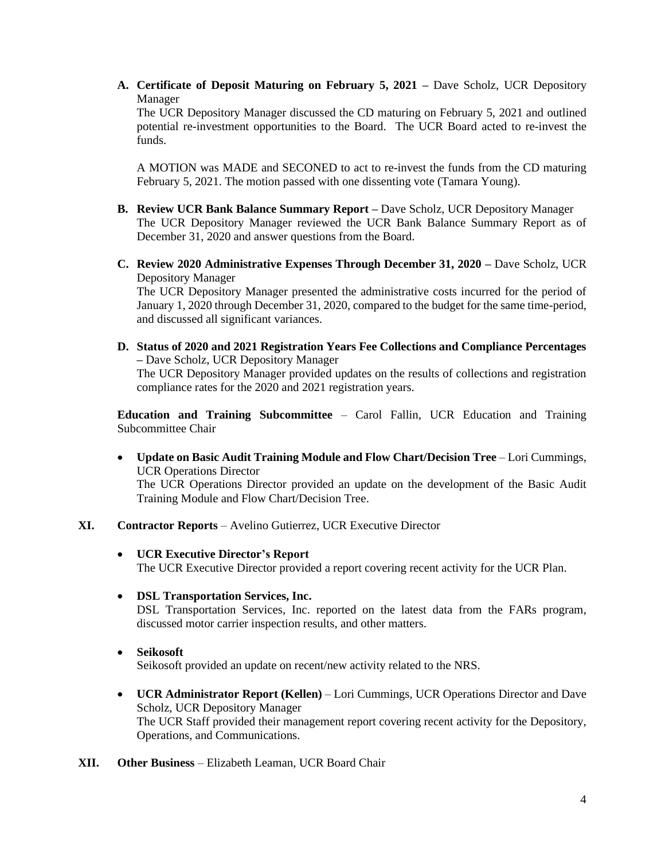**A. Certificate of Deposit Maturing on February 5, 2021 –** Dave Scholz, UCR Depository Manager

The UCR Depository Manager discussed the CD maturing on February 5, 2021 and outlined potential re-investment opportunities to the Board. The UCR Board acted to re-invest the funds.

A MOTION was MADE and SECONED to act to re-invest the funds from the CD maturing February 5, 2021. The motion passed with one dissenting vote (Tamara Young).

- **B. Review UCR Bank Balance Summary Report –** Dave Scholz, UCR Depository Manager The UCR Depository Manager reviewed the UCR Bank Balance Summary Report as of December 31, 2020 and answer questions from the Board.
- **C. Review 2020 Administrative Expenses Through December 31, 2020 –** Dave Scholz, UCR Depository Manager

The UCR Depository Manager presented the administrative costs incurred for the period of January 1, 2020 through December 31, 2020, compared to the budget for the same time-period, and discussed all significant variances.

**D. Status of 2020 and 2021 Registration Years Fee Collections and Compliance Percentages –** Dave Scholz, UCR Depository Manager The UCR Depository Manager provided updates on the results of collections and registration compliance rates for the 2020 and 2021 registration years.

**Education and Training Subcommittee** – Carol Fallin, UCR Education and Training Subcommittee Chair

- **Update on Basic Audit Training Module and Flow Chart/Decision Tree** Lori Cummings, UCR Operations Director The UCR Operations Director provided an update on the development of the Basic Audit Training Module and Flow Chart/Decision Tree.
- **XI. Contractor Reports** Avelino Gutierrez, UCR Executive Director
	- **UCR Executive Director's Report** The UCR Executive Director provided a report covering recent activity for the UCR Plan.
	- **DSL Transportation Services, Inc.**

DSL Transportation Services, Inc. reported on the latest data from the FARs program, discussed motor carrier inspection results, and other matters.

• **Seikosoft** 

Seikosoft provided an update on recent/new activity related to the NRS.

- **UCR Administrator Report (Kellen)**  Lori Cummings, UCR Operations Director and Dave Scholz, UCR Depository Manager The UCR Staff provided their management report covering recent activity for the Depository, Operations, and Communications.
- **XII. Other Business** Elizabeth Leaman, UCR Board Chair